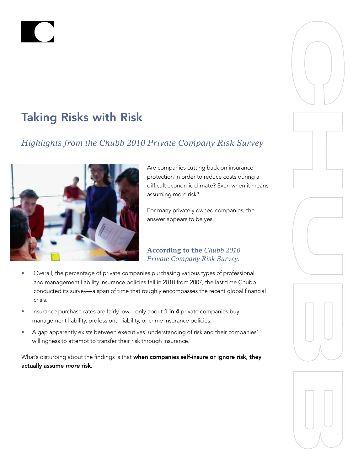# Taking Risks with Risk

# *Highlights from the Chubb 2010 Private Company Risk Survey*



Are companies cutting back on insurance protection in order to reduce costs during a difficult economic climate? Even when it means assuming more risk?

For many privately owned companies, the answer appears to be yes.

### **According to the** *Chubb 2010 Private Company Risk Survey:*

- Overall, the percentage of private companies purchasing various types of professional and management liability insurance policies fell in 2010 from 2007, the last time Chubb conducted its survey—a span of time that roughly encompasses the recent global financial crisis.
- Insurance purchase rates are fairly low—only about 1 in 4 private companies buy management liability, professional liability, or crime insurance policies.
- A gap apparently exists between executives' understanding of risk and their companies' willingness to attempt to transfer their risk through insurance.

What's disturbing about the findings is that when companies self-insure or ignore risk, they actually assume *more* risk.







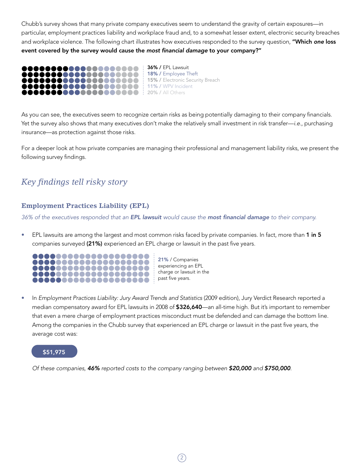Chubb's survey shows that many private company executives seem to understand the gravity of certain exposures—in particular, employment practices liability and workplace fraud and, to a somewhat lesser extent, electronic security breaches and workplace violence. The following chart illustrates how executives responded to the survey question, "Which *one* loss event covered by the survey would cause the *most financial damage* to your company?"



As you can see, the executives seem to recognize certain risks as being potentially damaging to their company financials. Yet the survey also shows that many executives don't make the relatively small investment in risk transfer—*i.e.*, purchasing insurance—as protection against those risks.

For a deeper look at how private companies are managing their professional and management liability risks, we present the following survey findings.

## *Key findings tell risky story*

#### **Employment Practices Liability (EPL)**

*36% of the executives responded that an EPL lawsuit would cause the most financial damage to their company.*

• EPL lawsuits are among the largest and most common risks faced by private companies. In fact, more than 1 in 5 companies surveyed (21%) experienced an EPL charge or lawsuit in the past five years.



21% / Companies experiencing an EPL charge or lawsuit in the past five years.

• In *Employment Practices Liability: Jury Award Trends and Statistics (2009 edition), Jury Verdict Research reported a* median compensatory award for EPL lawsuits in 2008 of \$326,640—an all-time high. But it's important to remember that even a mere charge of employment practices misconduct must be defended and can damage the bottom line. Among the companies in the Chubb survey that experienced an EPL charge or lawsuit in the past five years, the average cost was:

 $2^{\circ}$ 



*Of these companies, 46% reported costs to the company ranging between \$20,000 and \$750,000*.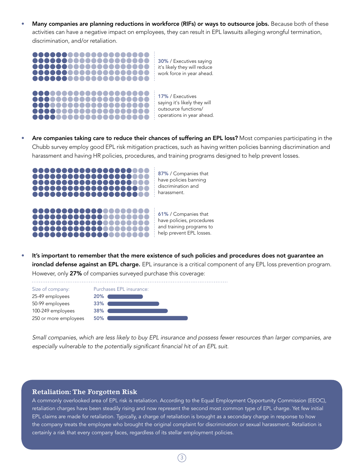Many companies are planning reductions in workforce (RIFs) or ways to outsource jobs. Because both of these activities can have a negative impact on employees, they can result in EPL lawsuits alleging wrongful termination, discrimination, and/or retaliation.



Are companies taking care to reduce their chances of suffering an EPL loss? Most companies participating in the Chubb survey employ good EPL risk mitigation practices, such as having written policies banning discrimination and harassment and having HR policies, procedures, and training programs designed to help prevent losses.



It's important to remember that the mere existence of such policies and procedures does not guarantee an ironclad defense against an EPL charge. EPL insurance is a critical component of any EPL loss prevention program. However, only 27% of companies surveyed purchase this coverage:

| Size of company:      | Purchases EPL insurance: |
|-----------------------|--------------------------|
| 25-49 employees       | 20%                      |
| 50-99 employees       | 33%                      |
| 100-249 employees     | 38%                      |
| 250 or more employees | 50%                      |
|                       |                          |

*Small companies, which are less likely to buy EPL insurance and possess fewer resources than larger companies, are*  especially vulnerable to the potentially significant financial hit of an EPL suit.

#### **Retaliation: The Forgotten Risk**

A commonly overlooked area of EPL risk is retaliation. According to the Equal Employment Opportunity Commission (EEOC), retaliation charges have been steadily rising and now represent the second most common type of EPL charge. Yet few initial EPL claims are made for retaliation. Typically, a charge of retaliation is brought as a secondary charge in response to how the company treats the employee who brought the original complaint for discrimination or sexual harassment. Retaliation is certainly a risk that every company faces, regardless of its stellar employment policies.

 $(3)$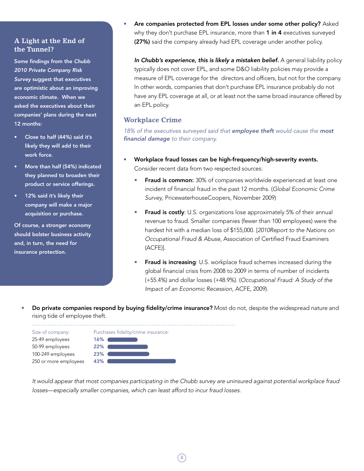#### **A Light at the End of the Tunnel?**

Some findings from the *Chubb 2010 Private Company Risk Survey* suggest that executives are optimistic about an improving economic climate. When we asked the executives about their companies' plans during the next 12 months:

- Close to half (44%) said it's likely they will add to their work force.
- More than half (54%) indicated they planned to broaden their product or service offerings.
- 12% said it's likely their company will make a major acquisition or purchase.

Of course, a stronger economy should bolster business activity and, in turn, the need for insurance protection.

Are companies protected from EPL losses under some other policy? Asked why they don't purchase EPL insurance, more than 1 in 4 executives surveyed (27%) said the company already had EPL coverage under another policy.

In Chubb's experience, this is likely a mistaken belief. A general liability policy typically does not cover EPL, and some D&O liability policies may provide a measure of EPL coverage for the directors and officers, but not for the company. In other words, companies that don't purchase EPL insurance probably do not have any EPL coverage at all, or at least not the same broad insurance offered by an EPL policy.

#### **Workplace Crime**

*18% of the executives surveyed said that employee theft would cause the most financial damage to their company.*

- Workplace fraud losses can be high-frequency/high-severity events. Consider recent data from two respected sources:
	- Fraud is common: 30% of companies worldwide experienced at least one incident of financial fraud in the past 12 months. (*Global Economic Crime Survey*, PricewaterhouseCoopers, November 2009)
	- Fraud is costly: U.S. organizations lose approximately 5% of their annual revenue to fraud. Smaller companies (fewer than 100 employees) were the hardest hit with a median loss of \$155,000. [*2010Report to the Nations on Occupational Fraud & Abuse*, Association of Certified Fraud Examiners (ACFE)].
	- Fraud is increasing: U.S. workplace fraud schemes increased during the global financial crisis from 2008 to 2009 in terms of number of incidents (+55.4%) and dollar losses (+48.9%). (*Occupational Fraud: A Study of the Impact of an Economic Recession*, ACFE, 2009).
- Do private companies respond by buying fidelity/crime insurance? Most do not, despite the widespread nature and rising tide of employee theft.



*It would appear that most companies participating in the Chubb survey are uninsured against potential workplace fraud losses—especially smaller companies, which can least afford to incur fraud losses.*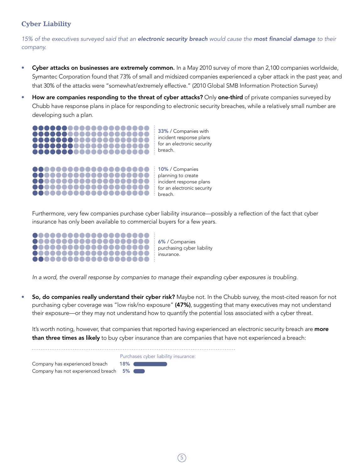#### **Cyber Liability**

*15% of the executives surveyed said that an electronic security breach would cause the most financial damage to their company.*

- Cyber attacks on businesses are extremely common. In a May 2010 survey of more than 2,100 companies worldwide, Symantec Corporation found that 73% of small and midsized companies experienced a cyber attack in the past year, and that 30% of the attacks were "somewhat/extremely effective." (2010 Global SMB Information Protection Survey)
- How are companies responding to the threat of cyber attacks? Only one-third of private companies surveyed by Chubb have response plans in place for responding to electronic security breaches, while a relatively small number are developing such a plan.



incident response plans for an electronic security

 Furthermore, very few companies purchase cyber liability insurance—possibly a reflection of the fact that cyber insurance has only been available to commercial buyers for a few years.

breach.



,,,,,,,,,,,,,,,,,,,,,,,

6% / Companies purchasing cyber liability insurance.

 *In a word, the overall response by companies to manage their expanding cyber exposures is troubling.*

So, do companies really understand their cyber risk? Maybe not. In the Chubb survey, the most-cited reason for not purchasing cyber coverage was "low risk/no exposure" (47%), suggesting that many executives may not understand their exposure—or they may not understand how to quantify the potential loss associated with a cyber threat.

It's worth noting, however, that companies that reported having experienced an electronic security breach are more than three times as likely to buy cyber insurance than are companies that have not experienced a breach:

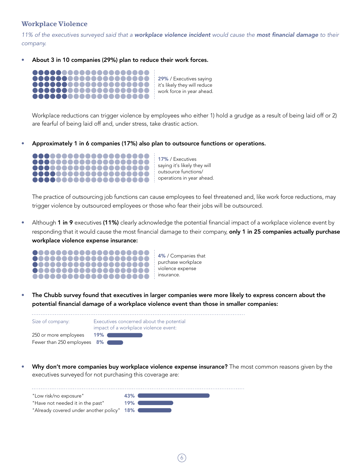#### **Workplace Violence**

*11% of the executives surveyed said that a workplace violence incident would cause the most financial damage to their company.*

• About 3 in 10 companies (29%) plan to reduce their work forces.



Workplace reductions can trigger violence by employees who either 1) hold a grudge as a result of being laid off or 2) are fearful of being laid off and, under stress, take drastic action.

• Approximately 1 in 6 companies (17%) also plan to outsource functions or operations.



The practice of outsourcing job functions can cause employees to feel threatened and, like work force reductions, may trigger violence by outsourced employees or those who fear their jobs will be outsourced.

Although 1 in 9 executives (11%) clearly acknowledge the potential financial impact of a workplace violence event by responding that it would cause the most financial damage to their company, only 1 in 25 companies actually purchase workplace violence expense insurance:



• The Chubb survey found that executives in larger companies were more likely to express concern about the potential financial damage of a workplace violence event than those in smaller companies:



Why don't more companies buy workplace violence expense insurance? The most common reasons given by the executives surveyed for not purchasing this coverage are:

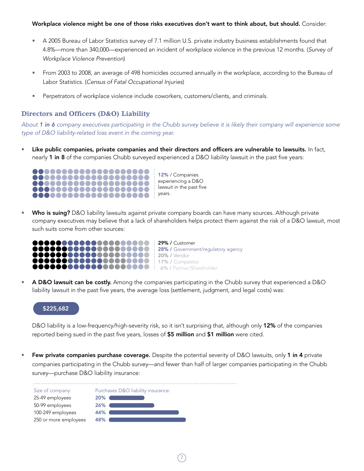#### Workplace violence might be one of those risks executives don't want to think about, but should. Consider:

- A 2005 Bureau of Labor Statistics survey of 7.1 million U.S. private industry business establishments found that 4.8%—more than 340,000—experienced an incident of workplace violence in the previous 12 months. (*Survey of Workplace Violence Prevention*)
- From 2003 to 2008, an average of 498 homicides occurred annually in the workplace, according to the Bureau of Labor Statistics. (*Census of Fatal Occupational Injuries*)
- Perpetrators of workplace violence include coworkers, customers/clients, and criminals.

#### **Directors and Officers (D&O) Liability**

*About 1 in 6 company executives participating in the Chubb survey believe it is likely their company will experience some type of D&O liability-related loss event in the coming year.*

Like public companies, private companies and their directors and officers are vulnerable to lawsuits. In fact, nearly 1 in 8 of the companies Chubb surveyed experienced a D&O liability lawsuit in the past five years:



12% / Companies experiencing a D&O lawsuit in the past five

Who is suing? D&O liability lawsuits against private company boards can have many sources. Although private company executives may believe that a lack of shareholders helps protect them against the risk of a D&O lawsuit, most such suits come from other sources:



• A D&O lawsuit can be costly. Among the companies participating in the Chubb survey that experienced a D&O liability lawsuit in the past five years, the average loss (settlement, judgment, and legal costs) was:

#### \$225,682

D&O liability is a low-frequency/high-severity risk, so it isn't surprising that, although only 12% of the companies reported being sued in the past five years, losses of \$5 million and \$1 million were cited.

Few private companies purchase coverage. Despite the potential severity of D&O lawsuits, only 1 in 4 private companies participating in the Chubb survey—and fewer than half of larger companies participating in the Chubb survey—purchase D&O liability insurance:

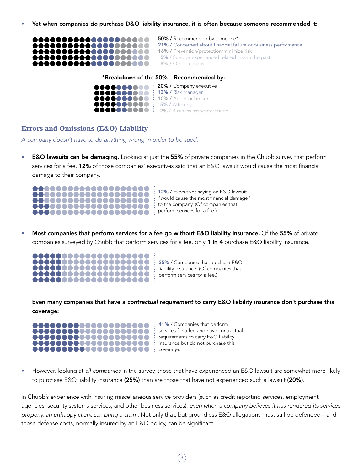• Yet when companies *do* purchase D&O liability insurance, it is often because someone recommended it:



#### \*Breakdown of the 50% – Recommended by:



**OCOOOOOO** 20% / Company executive : 10% / Agent or broker 5% / Attorney **00000000** : 2% / Business associate/Friend

#### **Errors and Omissions (E&O) Liability**

*A company doesn't have to do anything wrong in order to be sued.*

• E&O lawsuits can be damaging. Looking at just the 55% of private companies in the Chubb survey that perform services for a fee, 12% of those companies' executives said that an E&O lawsuit would cause the most financial damage to their company.



12% / Executives saying an E&O lawsuit "would cause the most financial damage" to the company. (Of companies that perform services for a fee.)

• Most companies that perform services for a fee go without E&O liability insurance. Of the 55% of private companies surveyed by Chubb that perform services for a fee, only 1 in 4 purchase E&O liability insurance.



25% / Companies that purchase E&O liability insurance. (Of companies that perform services for a fee.)

Even many companies that have a *contractual requirement* to carry E&O liability insurance don't purchase this coverage:



41% / Companies that perform services for a fee and have contractual requirements to carry E&O liability insurance but do not purchase this coverage.

• However, looking at *all companies* in the survey, those that have experienced an E&O lawsuit are somewhat more likely to purchase E&O liability insurance (25%) than are those that have not experienced such a lawsuit (20%).

In Chubb's experience with insuring miscellaneous service providers (such as credit reporting services, employment agencies, security systems services, and other business services), *even when a company believes it has rendered its services properly, an unhappy client can bring a claim*. Not only that, but groundless E&O allegations must still be defended—and those defense costs, normally insured by an E&O policy, can be significant.

 $\degree$ 8  $\degree$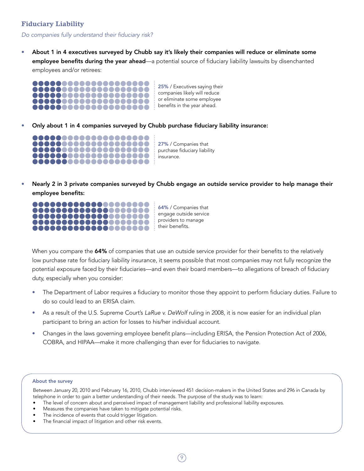#### **Fiduciary Liability**

*Do companies fully understand their fiduciary risk?*

About 1 in 4 executives surveyed by Chubb say it's likely their companies will reduce or eliminate some employee benefits during the year ahead—a potential source of fiduciary liability lawsuits by disenchanted employees and/or retirees:



• Only about 1 in 4 companies surveyed by Chubb purchase fiduciary liability insurance:



27% / Companies that purchase fiduciary liability insurance.

• Nearly 2 in 3 private companies surveyed by Chubb engage an outside service provider to help manage their employee benefits:



64% / Companies that engage outside service providers to manage their benefits.

When you compare the 64% of companies that use an outside service provider for their benefits to the relatively low purchase rate for fiduciary liability insurance, it seems possible that most companies may not fully recognize the potential exposure faced by their fiduciaries—and even their board members—to allegations of breach of fiduciary duty, especially when you consider:

- The Department of Labor requires a fiduciary to monitor those they appoint to perform fiduciary duties. Failure to do so could lead to an ERISA claim.
- As a result of the U.S. Supreme Court's *LaRue v. DeWolf* ruling in 2008, it is now easier for an individual plan participant to bring an action for losses to his/her individual account.
- Changes in the laws governing employee benefit plans—including ERISA, the Pension Protection Act of 2006, COBRA, and HIPAA—make it more challenging than ever for fiduciaries to navigate.

#### About the survey

Between January 20, 2010 and February 16, 2010, Chubb interviewed 451 decision-makers in the United States and 296 in Canada by telephone in order to gain a better understanding of their needs. The purpose of the study was to learn:

- The level of concern about and perceived impact of management liability and professional liability exposures.
- Measures the companies have taken to mitigate potential risks.
- The incidence of events that could trigger litigation.
- The financial impact of litigation and other risk events.